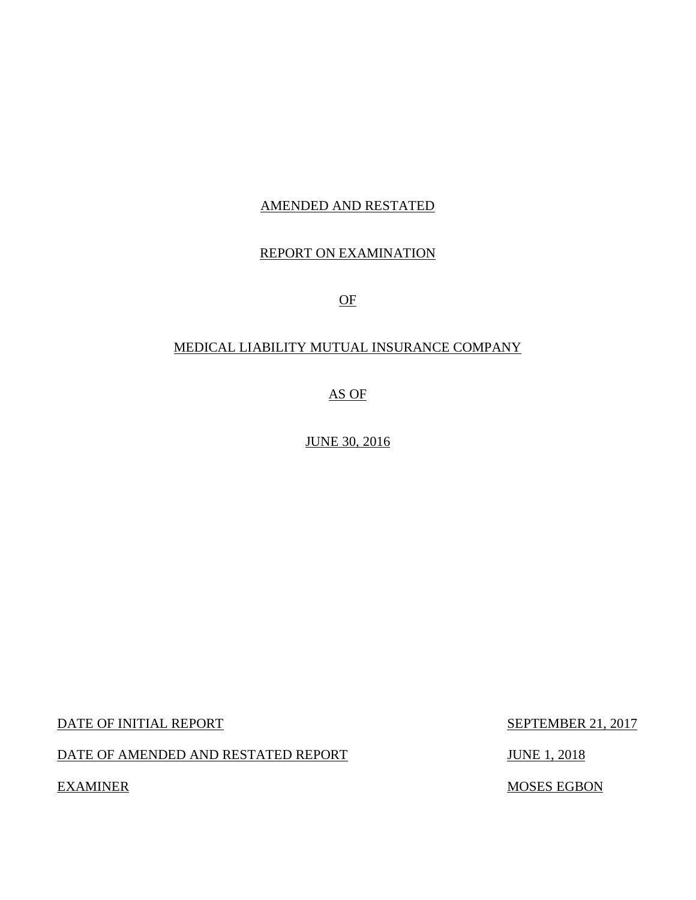### AMENDED AND RESTATED

### REPORT ON EXAMINATION

OF

### MEDICAL LIABILITY MUTUAL INSURANCE COMPANY

AS OF

JUNE 30, 2016

DATE OF INITIAL REPORT SEPTEMBER 21, 2017

DATE OF AMENDED AND RESTATED REPORT JUNE 1, 2018

**EXAMINER** 

MOSES EGBON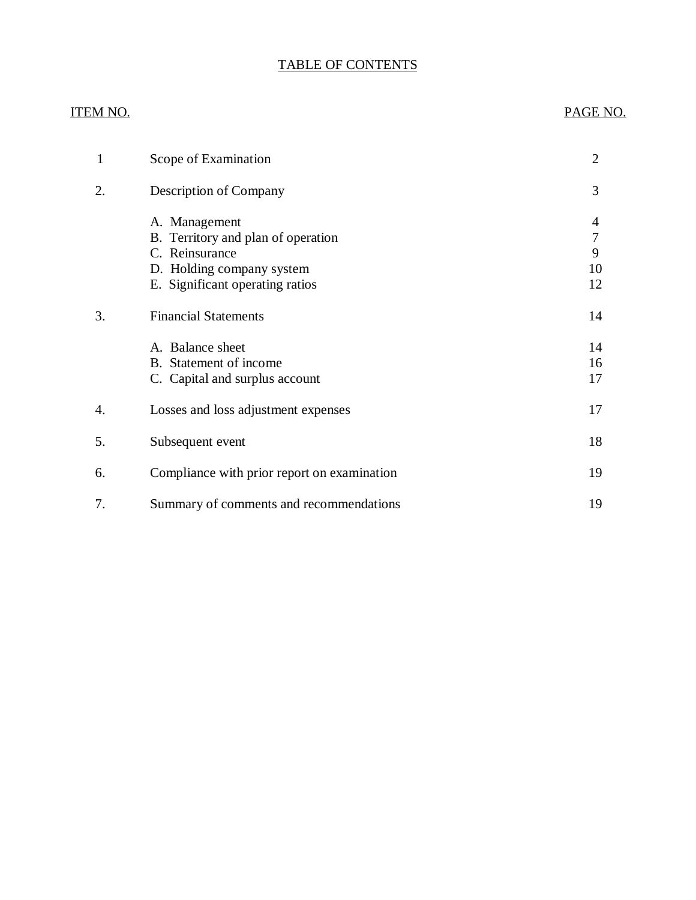### TABLE OF CONTENTS

### **ITEM NO.**

### PAGE NO.

| 1  | Scope of Examination                                                                                                                  | $\overline{2}$          |
|----|---------------------------------------------------------------------------------------------------------------------------------------|-------------------------|
| 2. | Description of Company                                                                                                                | 3                       |
|    | A. Management<br>B. Territory and plan of operation<br>C. Reinsurance<br>D. Holding company system<br>E. Significant operating ratios | 4<br>7<br>9<br>10<br>12 |
| 3. | <b>Financial Statements</b>                                                                                                           | 14                      |
|    | A. Balance sheet<br>B. Statement of income<br>C. Capital and surplus account                                                          | 14<br>16<br>17          |
| 4. | Losses and loss adjustment expenses                                                                                                   | 17                      |
| 5. | Subsequent event                                                                                                                      | 18                      |
| 6. | Compliance with prior report on examination                                                                                           | 19                      |
| 7. | Summary of comments and recommendations                                                                                               | 19                      |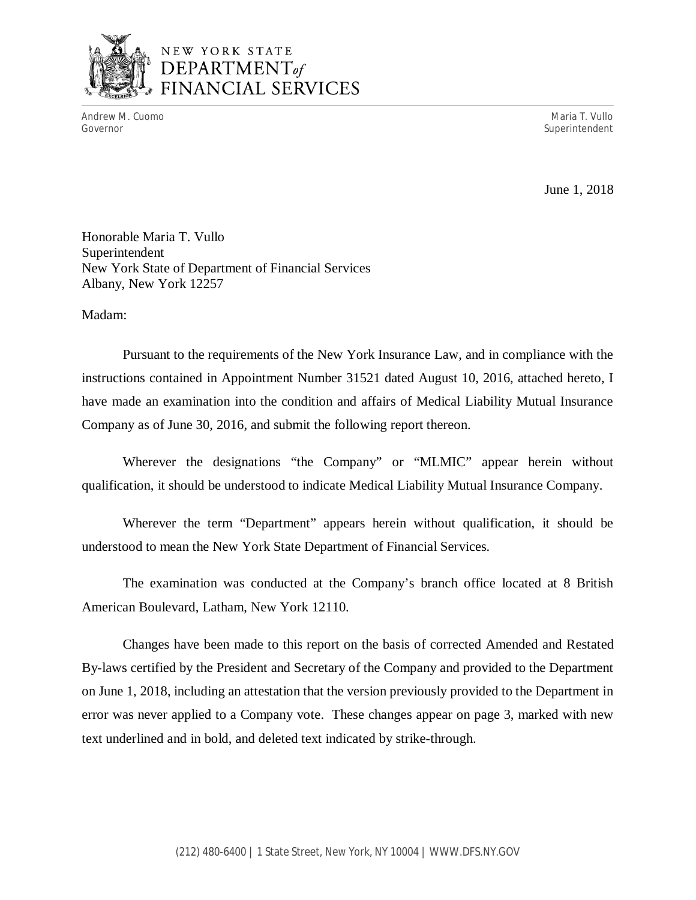

## NEW YORK STATE *DEPARTMENTof*  FINANCIAL SERVICES

 Andrew M. Cuomo Maria T. Vullo Governor Superintendent Superintendent Superintendent Superintendent Superintendent Superintendent Superintendent

June 1, 2018

 Honorable Maria T. Vullo New York State of Department of Financial Services Albany, New York 12257 Superintendent

Madam:

 Pursuant to the requirements of the New York Insurance Law, and in compliance with the instructions contained in Appointment Number 31521 dated August 10, 2016, attached hereto, I have made an examination into the condition and affairs of Medical Liability Mutual Insurance Company as of June 30, 2016, and submit the following report thereon.

 Wherever the designations "the Company" or "MLMIC" appear herein without qualification, it should be understood to indicate Medical Liability Mutual Insurance Company.

 Wherever the term "Department" appears herein without qualification, it should be understood to mean the New York State Department of Financial Services.

 American Boulevard, Latham, New York 12110. The examination was conducted at the Company's branch office located at 8 British

 Changes have been made to this report on the basis of corrected Amended and Restated By-laws certified by the President and Secretary of the Company and provided to the Department on June 1, 2018, including an attestation that the version previously provided to the Department in error was never applied to a Company vote. These changes appear on page 3, marked with new text underlined and in bold, and deleted text indicated by strike-through.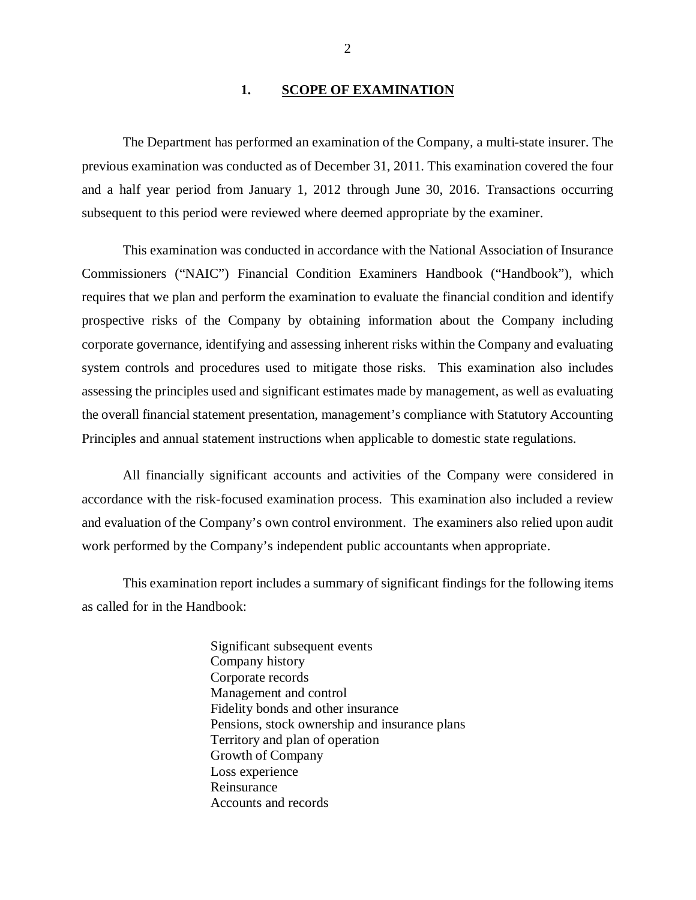#### **1. SCOPE OF EXAMINATION**

<span id="page-3-0"></span> previous examination was conducted as of December 31, 2011. This examination covered the four and a half year period from January 1, 2012 through June 30, 2016. Transactions occurring subsequent to this period were reviewed where deemed appropriate by the examiner. The Department has performed an examination of the Company*,* a multi-state insurer. The

 Commissioners ("NAIC") Financial Condition Examiners Handbook ("Handbook"), which requires that we plan and perform the examination to evaluate the financial condition and identify prospective risks of the Company by obtaining information about the Company including corporate governance, identifying and assessing inherent risks within the Company and evaluating system controls and procedures used to mitigate those risks. This examination also includes assessing the principles used and significant estimates made by management, as well as evaluating the overall financial statement presentation, management's compliance with Statutory Accounting Principles and annual statement instructions when applicable to domestic state regulations. This examination was conducted in accordance with the National Association of Insurance

 accordance with the risk-focused examination process. This examination also included a review and evaluation of the Company's own control environment. The examiners also relied upon audit work performed by the Company's independent public accountants when appropriate. All financially significant accounts and activities of the Company were considered in

 as called for in the Handbook: This examination report includes a summary of significant findings for the following items

> Significant subsequent events Company history Corporate records Management and control Fidelity bonds and other insurance Pensions, stock ownership and insurance plans Territory and plan of operation Growth of Company Loss experience Reinsurance Reinsurance Accounts and records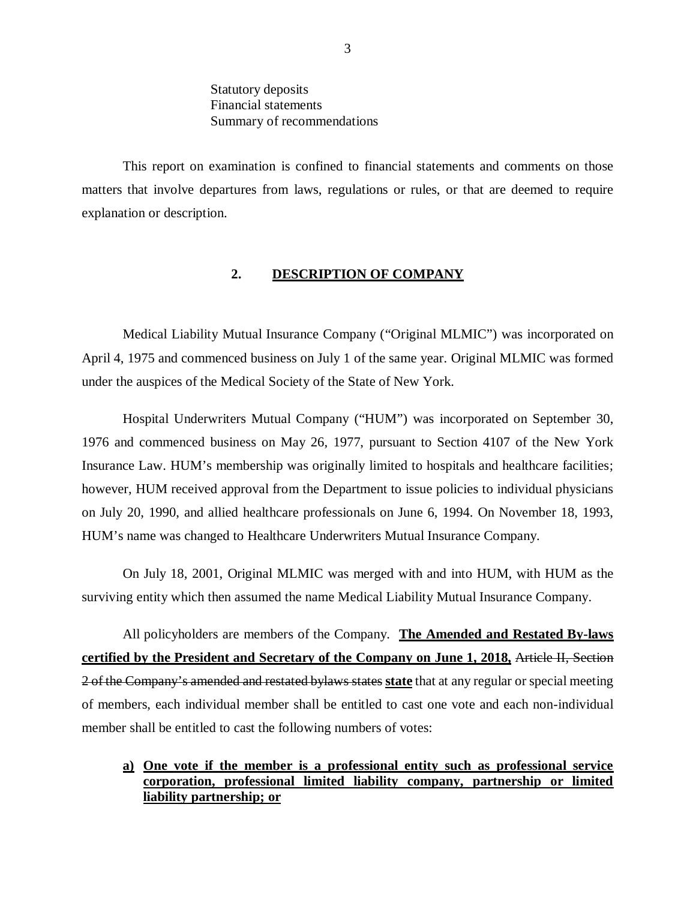Statutory deposits Financial statements Summary of recommendations

<span id="page-4-0"></span> matters that involve departures from laws, regulations or rules, or that are deemed to require explanation or description. This report on examination is confined to financial statements and comments on those

#### **2. DESCRIPTION OF COMPANY**

 Medical Liability Mutual Insurance Company ("Original MLMIC") was incorporated on April 4, 1975 and commenced business on July 1 of the same year. Original MLMIC was formed under the auspices of the Medical Society of the State of New York.

 Hospital Underwriters Mutual Company ("HUM") was incorporated on September 30, 1976 and commenced business on May 26, 1977, pursuant to Section 4107 of the New York Insurance Law. HUM's membership was originally limited to hospitals and healthcare facilities; however, HUM received approval from the Department to issue policies to individual physicians on July 20, 1990, and allied healthcare professionals on June 6, 1994. On November 18, 1993, HUM's name was changed to Healthcare Underwriters Mutual Insurance Company.

 On July 18, 2001, Original MLMIC was merged with and into HUM, with HUM as the surviving entity which then assumed the name Medical Liability Mutual Insurance Company.

 All policyholders are members of the Company. **The Amended and Restated By-laws certified by the President and Secretary of the Company on June 1, 2018,** Article II, Section 2 of the Company's amended and restated bylaws states **state** that at any regular or special meeting of members, each individual member shall be entitled to cast one vote and each non-individual member shall be entitled to cast the following numbers of votes:

### **a) One vote if the member is a professional entity such as professional service corporation, professional limited liability company, partnership or limited liability partnership; or**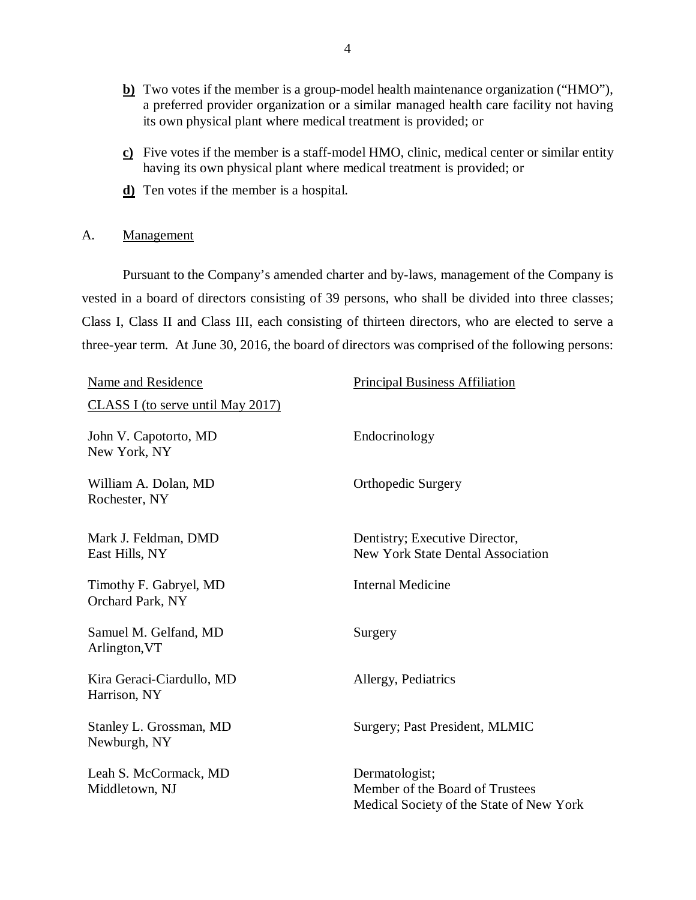- **b)** Two votes if the member is a group-model health maintenance organization ("HMO"), a preferred provider organization or a similar managed health care facility not having its own physical plant where medical treatment is provided; or
- **c)** Five votes if the member is a staff-model HMO, clinic, medical center or similar entity having its own physical plant where medical treatment is provided; or
- **d)** Ten votes if the member is a hospital.

### A. Management

 Pursuant to the Company's amended charter and by-laws, management of the Company is vested in a board of directors consisting of 39 persons, who shall be divided into three classes; Class I, Class II and Class III, each consisting of thirteen directors, who are elected to serve a three-year term. At June 30, 2016, the board of directors was comprised of the following persons:

| Name and Residence                         | <b>Principal Business Affiliation</b>                                                         |  |
|--------------------------------------------|-----------------------------------------------------------------------------------------------|--|
| <b>CLASS I</b> (to serve until May 2017)   |                                                                                               |  |
| John V. Capotorto, MD<br>New York, NY      | Endocrinology                                                                                 |  |
| William A. Dolan, MD<br>Rochester, NY      | <b>Orthopedic Surgery</b>                                                                     |  |
| Mark J. Feldman, DMD<br>East Hills, NY     | Dentistry; Executive Director,<br><b>New York State Dental Association</b>                    |  |
| Timothy F. Gabryel, MD<br>Orchard Park, NY | <b>Internal Medicine</b>                                                                      |  |
| Samuel M. Gelfand, MD<br>Arlington, VT     | Surgery                                                                                       |  |
| Kira Geraci-Ciardullo, MD<br>Harrison, NY  | Allergy, Pediatrics                                                                           |  |
| Stanley L. Grossman, MD<br>Newburgh, NY    | Surgery; Past President, MLMIC                                                                |  |
| Leah S. McCormack, MD<br>Middletown, NJ    | Dermatologist;<br>Member of the Board of Trustees<br>Medical Society of the State of New York |  |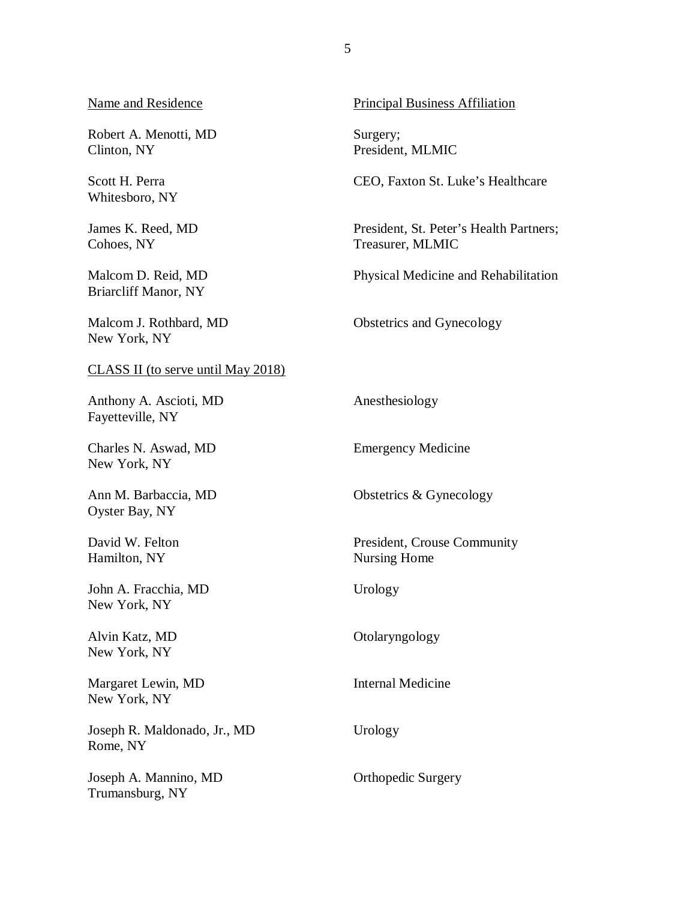Name and Residence

 Robert A. Menotti, MD Clinton, NY

 Scott H. Perra Whitesboro, NY

 James K. Reed, MD Cohoes, NY

 Malcom D. Reid, MD Briarcliff Manor, NY

 Malcom J. Rothbard, MD New York, NY

#### CLASS II (to serve until May 2018)

 Anthony A. Ascioti, MD Fayetteville, NY

 Charles N. Aswad, MD New York, NY

 Ann M. Barbaccia, MD Oyster Bay, NY

 David W. Felton Hamilton, NY

 John A. Fracchia, MD New York, NY

 Alvin Katz, MD New York, NY

 Margaret Lewin, MD New York, NY

 Joseph R. Maldonado, Jr., MD Rome, NY

 Joseph A. Mannino, MD Trumansburg, NY

Principal Business Affiliation

Surgery; Surgery; President, MLMIC

CEO, Faxton St. Luke's Healthcare

 President, St. Peter's Health Partners; Treasurer, MLMIC

Physical Medicine and Rehabilitation

Obstetrics and Gynecology Anesthesiology

Emergency Medicine

Obstetrics & Gynecology

 President, Crouse Community Nursing Home

Urology

Otolaryngology

Internal Medicine

Urology

Orthopedic Surgery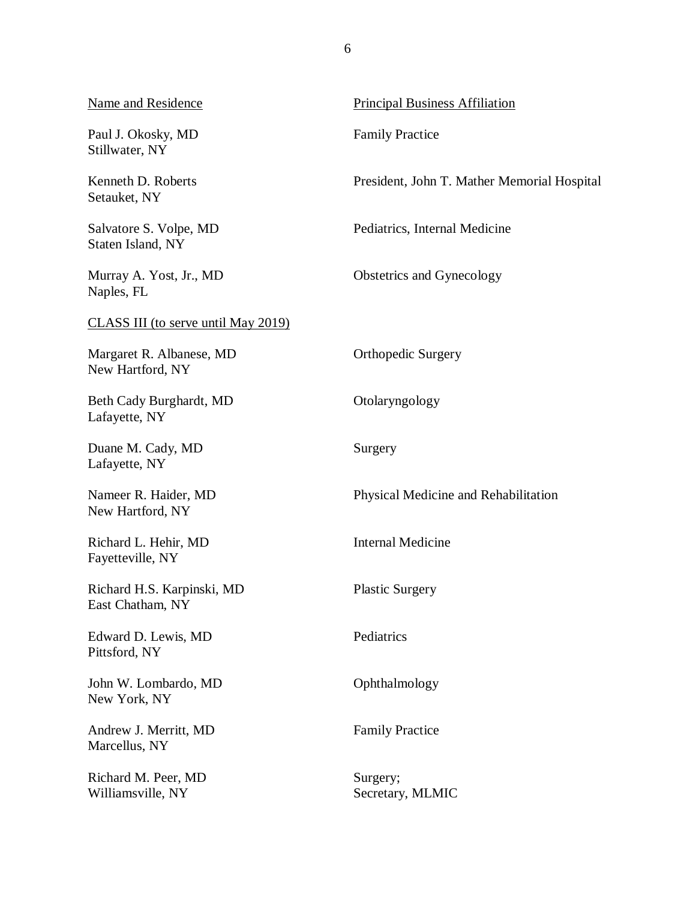| <b>Name and Residence</b>                      | <b>Principal Business Affiliation</b>       |
|------------------------------------------------|---------------------------------------------|
| Paul J. Okosky, MD<br>Stillwater, NY           | <b>Family Practice</b>                      |
| Kenneth D. Roberts<br>Setauket, NY             | President, John T. Mather Memorial Hospital |
| Salvatore S. Volpe, MD<br>Staten Island, NY    | Pediatrics, Internal Medicine               |
| Murray A. Yost, Jr., MD<br>Naples, FL          | Obstetrics and Gynecology                   |
| <b>CLASS III</b> (to serve until May 2019)     |                                             |
| Margaret R. Albanese, MD<br>New Hartford, NY   | <b>Orthopedic Surgery</b>                   |
| Beth Cady Burghardt, MD<br>Lafayette, NY       | Otolaryngology                              |
| Duane M. Cady, MD<br>Lafayette, NY             | Surgery                                     |
| Nameer R. Haider, MD<br>New Hartford, NY       | Physical Medicine and Rehabilitation        |
| Richard L. Hehir, MD<br>Fayetteville, NY       | <b>Internal Medicine</b>                    |
| Richard H.S. Karpinski, MD<br>East Chatham, NY | <b>Plastic Surgery</b>                      |
| Edward D. Lewis, MD<br>Pittsford, NY           | Pediatrics                                  |
| John W. Lombardo, MD<br>New York, NY           | Ophthalmology                               |
| Andrew J. Merritt, MD<br>Marcellus, NY         | <b>Family Practice</b>                      |
| Richard M. Peer, MD<br>Williamsville, NY       | Surgery;<br>Secretary, MLMIC                |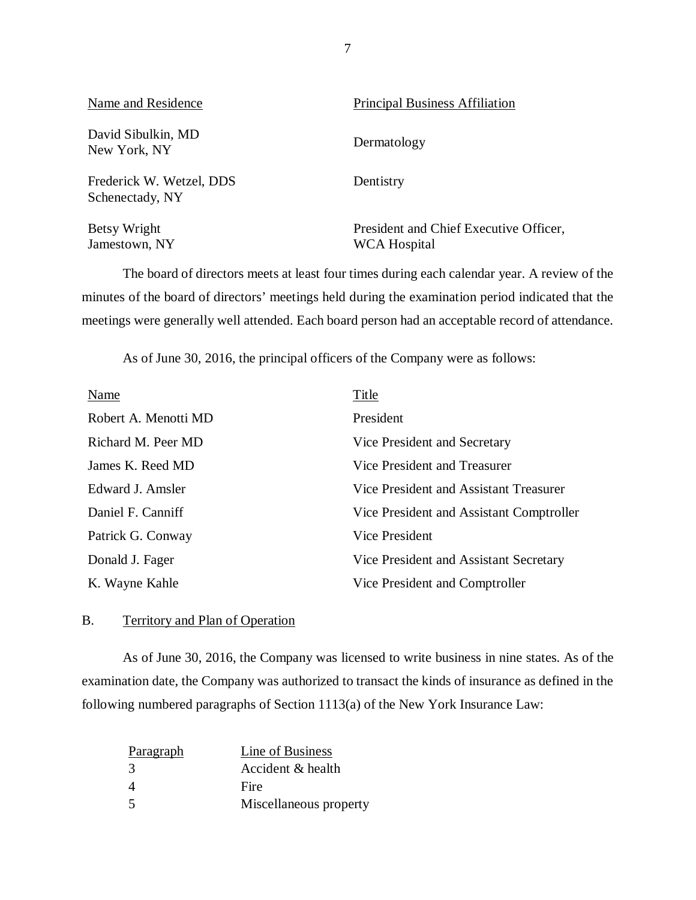<span id="page-8-0"></span>

| Name and Residence                          | <b>Principal Business Affiliation</b>                         |
|---------------------------------------------|---------------------------------------------------------------|
| David Sibulkin, MD<br>New York, NY          | Dermatology                                                   |
| Frederick W. Wetzel, DDS<br>Schenectady, NY | Dentistry                                                     |
| Betsy Wright<br>Jamestown, NY               | President and Chief Executive Officer,<br><b>WCA Hospital</b> |

 minutes of the board of directors' meetings held during the examination period indicated that the meetings were generally well attended. Each board person had an acceptable record of attendance. The board of directors meets at least four times during each calendar year. A review of the

As of June 30, 2016, the principal officers of the Company were as follows:

| <b>Name</b>          | <b>Title</b>                             |
|----------------------|------------------------------------------|
| Robert A. Menotti MD | President                                |
| Richard M. Peer MD   | Vice President and Secretary             |
| James K. Reed MD     | Vice President and Treasurer             |
| Edward J. Amsler     | Vice President and Assistant Treasurer   |
| Daniel F. Canniff    | Vice President and Assistant Comptroller |
| Patrick G. Conway    | <b>Vice President</b>                    |
| Donald J. Fager      | Vice President and Assistant Secretary   |
| K. Wayne Kahle       | Vice President and Comptroller           |

#### B. Territory and Plan of Operation

 examination date, the Company was authorized to transact the kinds of insurance as defined in the following numbered paragraphs of Section 1113(a) of the New York Insurance Law: As of June 30, 2016, the Company was licensed to write business in nine states. As of the

| Paragraph | Line of Business       |
|-----------|------------------------|
| 3         | Accident & health      |
|           | Fire                   |
| -5        | Miscellaneous property |

7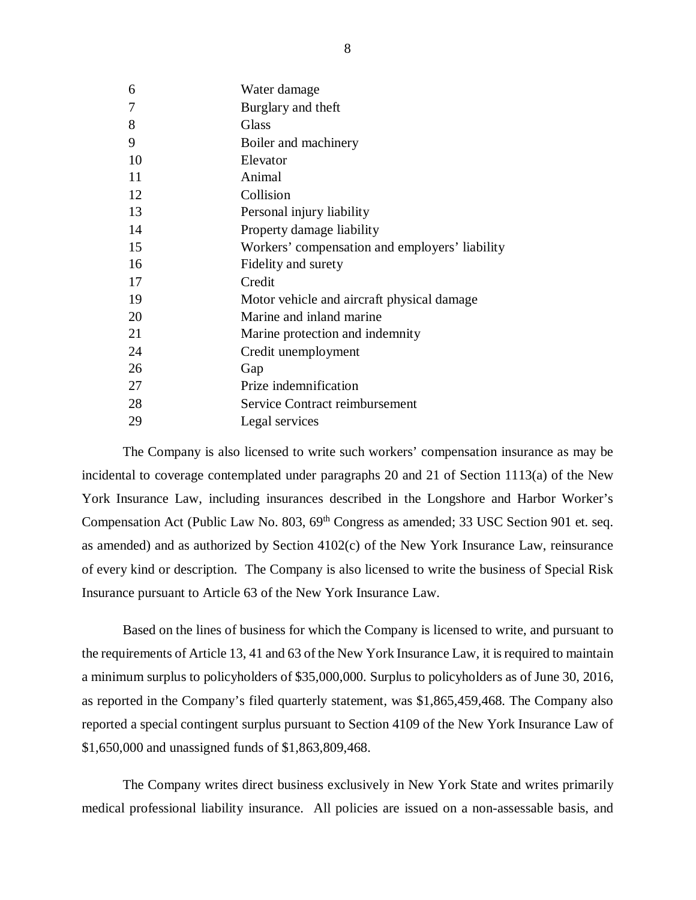| 6  | Water damage                                   |
|----|------------------------------------------------|
| 7  | Burglary and theft                             |
| 8  | Glass                                          |
| 9  | Boiler and machinery                           |
| 10 | Elevator                                       |
| 11 | Animal                                         |
| 12 | Collision                                      |
| 13 | Personal injury liability                      |
| 14 | Property damage liability                      |
| 15 | Workers' compensation and employers' liability |
| 16 | Fidelity and surety                            |
| 17 | Credit                                         |
| 19 | Motor vehicle and aircraft physical damage     |
| 20 | Marine and inland marine                       |
| 21 | Marine protection and indemnity                |
| 24 | Credit unemployment                            |
| 26 | Gap                                            |
| 27 | Prize indemnification                          |
| 28 | Service Contract reimbursement                 |
| 29 | Legal services                                 |
|    |                                                |

 incidental to coverage contemplated under paragraphs 20 and 21 of Section 1113(a) of the New York Insurance Law, including insurances described in the Longshore and Harbor Worker's Compensation Act (Public Law No. 803, 69<sup>th</sup> Congress as amended; 33 USC Section 901 et. seq. as amended) and as authorized by Section 4102(c) of the New York Insurance Law, reinsurance of every kind or description. The Company is also licensed to write the business of Special Risk Insurance pursuant to Article 63 of the New York Insurance Law. The Company is also licensed to write such workers' compensation insurance as may be

 Based on the lines of business for which the Company is licensed to write, and pursuant to the requirements of Article 13, 41 and 63 of the New York Insurance Law, it is required to maintain a minimum surplus to policyholders of \$35,000,000. Surplus to policyholders as of June 30, 2016, as reported in the Company's filed quarterly statement, was \$1,865,459,468. The Company also reported a special contingent surplus pursuant to Section 4109 of the New York Insurance Law of \$1,650,000 and unassigned funds of \$1,863,809,468.

 medical professional liability insurance. All policies are issued on a non-assessable basis, and The Company writes direct business exclusively in New York State and writes primarily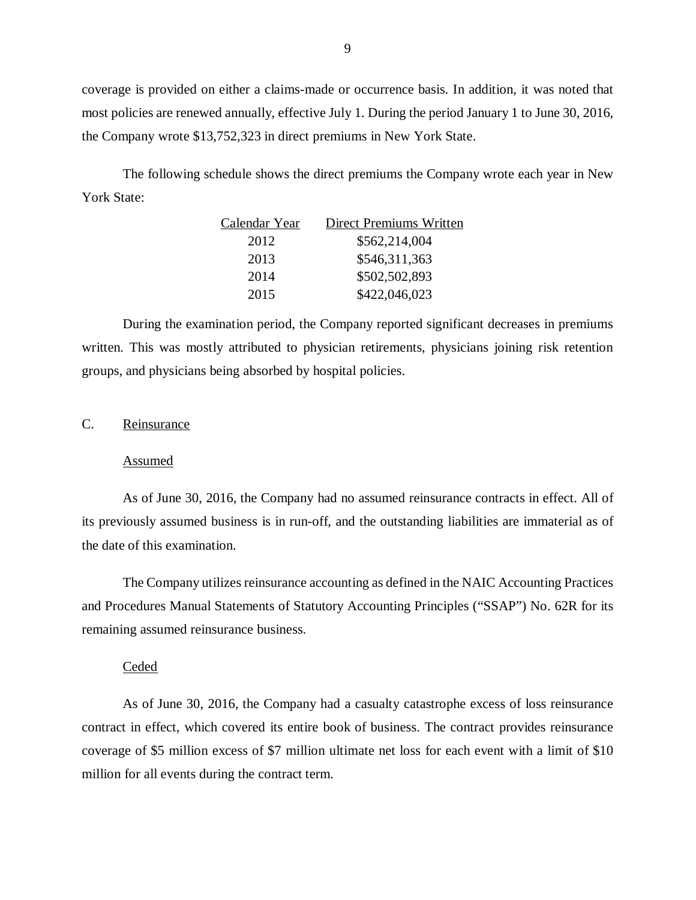coverage is provided on either a claims-made or occurrence basis. In addition, it was noted that most policies are renewed annually, effective July 1. During the period January 1 to June 30, 2016, the Company wrote \$13,752,323 in direct premiums in New York State.

 York State: The following schedule shows the direct premiums the Company wrote each year in New

| Calendar Year | <b>Direct Premiums Written</b> |
|---------------|--------------------------------|
| 2012          | \$562,214,004                  |
| 2013          | \$546,311,363                  |
| 2014          | \$502,502,893                  |
| 2015          | \$422,046,023                  |

 During the examination period, the Company reported significant decreases in premiums written. This was mostly attributed to physician retirements, physicians joining risk retention groups, and physicians being absorbed by hospital policies.

#### C. Reinsurance

#### Assumed

 As of June 30, 2016, the Company had no assumed reinsurance contracts in effect. All of its previously assumed business is in run-off, and the outstanding liabilities are immaterial as of the date of this examination.

 The Company utilizes reinsurance accounting as defined in the NAIC Accounting Practices and Procedures Manual Statements of Statutory Accounting Principles ("SSAP") No. 62R for its remaining assumed reinsurance business.

#### Ceded

 As of June 30, 2016, the Company had a casualty catastrophe excess of loss reinsurance contract in effect, which covered its entire book of business. The contract provides reinsurance coverage of \$5 million excess of \$7 million ultimate net loss for each event with a limit of \$10 million for all events during the contract term.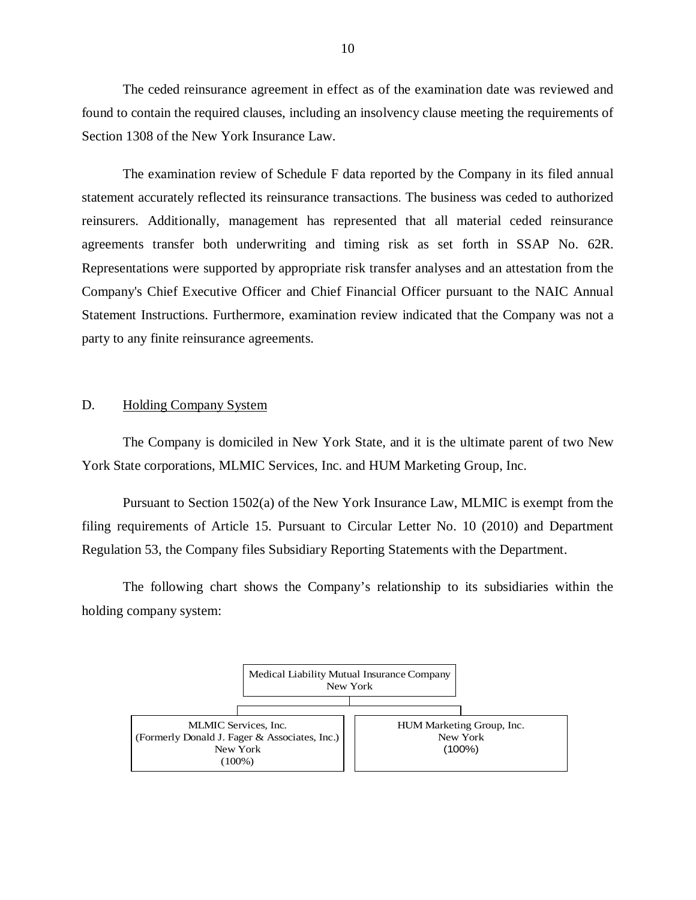<span id="page-11-0"></span> The ceded reinsurance agreement in effect as of the examination date was reviewed and found to contain the required clauses, including an insolvency clause meeting the requirements of Section 1308 of the New York Insurance Law.

 The examination review of Schedule F data reported by the Company in its filed annual statement accurately reflected its reinsurance transactions. The business was ceded to authorized reinsurers. Additionally, management has represented that all material ceded reinsurance agreements transfer both underwriting and timing risk as set forth in SSAP No. 62R. Representations were supported by appropriate risk transfer analyses and an attestation from the Company's Chief Executive Officer and Chief Financial Officer pursuant to the NAIC Annual Statement Instructions. Furthermore, examination review indicated that the Company was not a party to any finite reinsurance agreements.

#### D. Holding Company System

 York State corporations, MLMIC Services, Inc. and HUM Marketing Group, Inc. The Company is domiciled in New York State, and it is the ultimate parent of two New

 Pursuant to Section 1502(a) of the New York Insurance Law, MLMIC is exempt from the filing requirements of Article 15. Pursuant to Circular Letter No. 10 (2010) and Department Regulation 53, the Company files Subsidiary Reporting Statements with the Department.

 holding company system: The following chart shows the Company's relationship to its subsidiaries within the

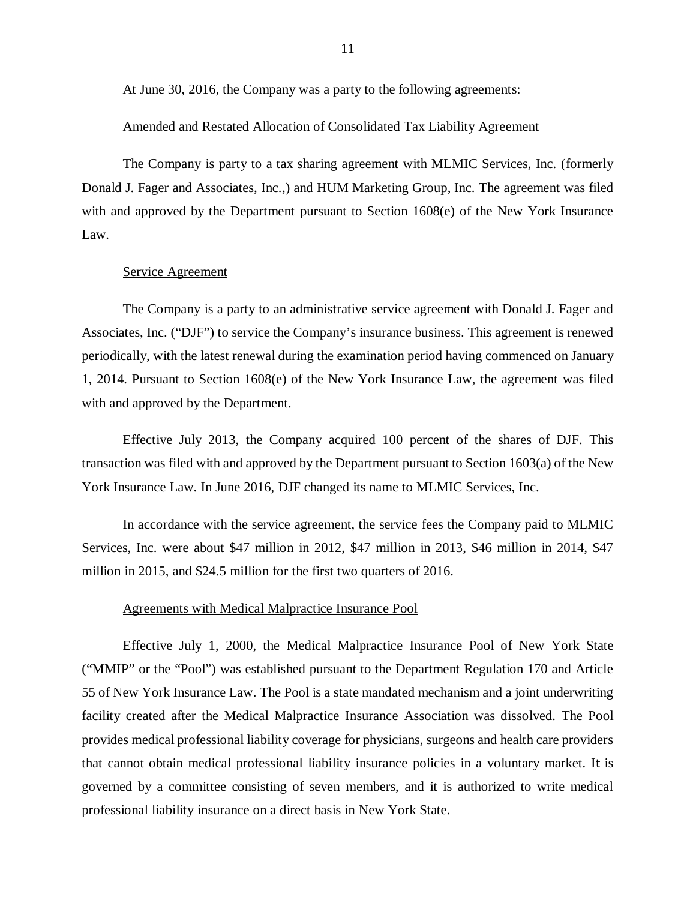At June 30, 2016, the Company was a party to the following agreements:

#### Amended and Restated Allocation of Consolidated Tax Liability Agreement

 Donald J. Fager and Associates, Inc.,) and HUM Marketing Group, Inc. The agreement was filed with and approved by the Department pursuant to Section 1608(e) of the New York Insurance The Company is party to a tax sharing agreement with MLMIC Services, Inc. (formerly Law.

#### Service Agreement

 Associates, Inc. ("DJF") to service the Company's insurance business. This agreement is renewed periodically, with the latest renewal during the examination period having commenced on January 1, 2014. Pursuant to Section 1608(e) of the New York Insurance Law, the agreement was filed with and approved by the Department. The Company is a party to an administrative service agreement with Donald J. Fager and

 Effective July 2013, the Company acquired 100 percent of the shares of DJF. This transaction was filed with and approved by the Department pursuant to Section 1603(a) of the New York Insurance Law. In June 2016, DJF changed its name to MLMIC Services, Inc.

 Services, Inc. were about \$47 million in 2012, \$47 million in 2013, \$46 million in 2014, \$47 million in 2015, and \$24.5 million for the first two quarters of 2016. In accordance with the service agreement, the service fees the Company paid to MLMIC

#### Agreements with Medical Malpractice Insurance Pool

 Effective July 1, 2000, the Medical Malpractice Insurance Pool of New York State ("MMIP" or the "Pool") was established pursuant to the Department Regulation 170 and Article 55 of New York Insurance Law. The Pool is a state mandated mechanism and a joint underwriting facility created after the Medical Malpractice Insurance Association was dissolved. The Pool provides medical professional liability coverage for physicians, surgeons and health care providers that cannot obtain medical professional liability insurance policies in a voluntary market. It is governed by a committee consisting of seven members, and it is authorized to write medical professional liability insurance on a direct basis in New York State.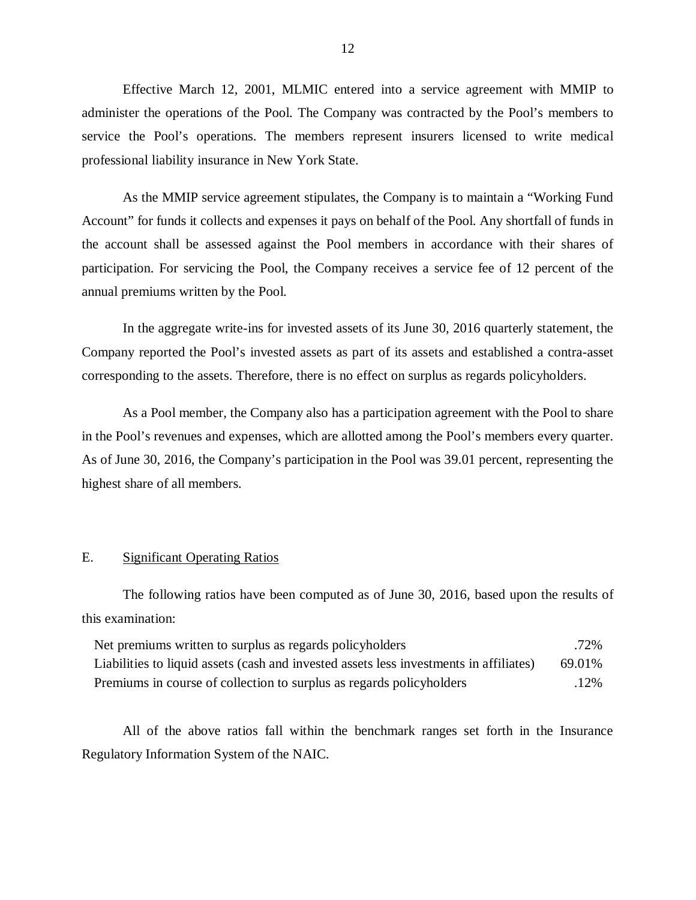Effective March 12, 2001, MLMIC entered into a service agreement with MMIP to administer the operations of the Pool. The Company was contracted by the Pool's members to service the Pool's operations. The members represent insurers licensed to write medical professional liability insurance in New York State.

 Account" for funds it collects and expenses it pays on behalf of the Pool. Any shortfall of funds in the account shall be assessed against the Pool members in accordance with their shares of participation. For servicing the Pool, the Company receives a service fee of 12 percent of the annual premiums written by the Pool. As the MMIP service agreement stipulates, the Company is to maintain a "Working Fund

 Company reported the Pool's invested assets as part of its assets and established a contra-asset corresponding to the assets. Therefore, there is no effect on surplus as regards policyholders. In the aggregate write-ins for invested assets of its June 30, 2016 quarterly statement, the

 in the Pool's revenues and expenses, which are allotted among the Pool's members every quarter. As of June 30, 2016, the Company's participation in the Pool was 39.01 percent, representing the highest share of all members. As a Pool member, the Company also has a participation agreement with the Pool to share

### E. Significant Operating Ratios

The following ratios have been computed as of June 30, 2016, based upon the results of this examination:

| Net premiums written to surplus as regards policyholders                               | .72%   |
|----------------------------------------------------------------------------------------|--------|
| Liabilities to liquid assets (cash and invested assets less investments in affiliates) | 69.01% |
| Premiums in course of collection to surplus as regards policyholders                   | .12%   |

 Regulatory Information System of the NAIC. All of the above ratios fall within the benchmark ranges set forth in the Insurance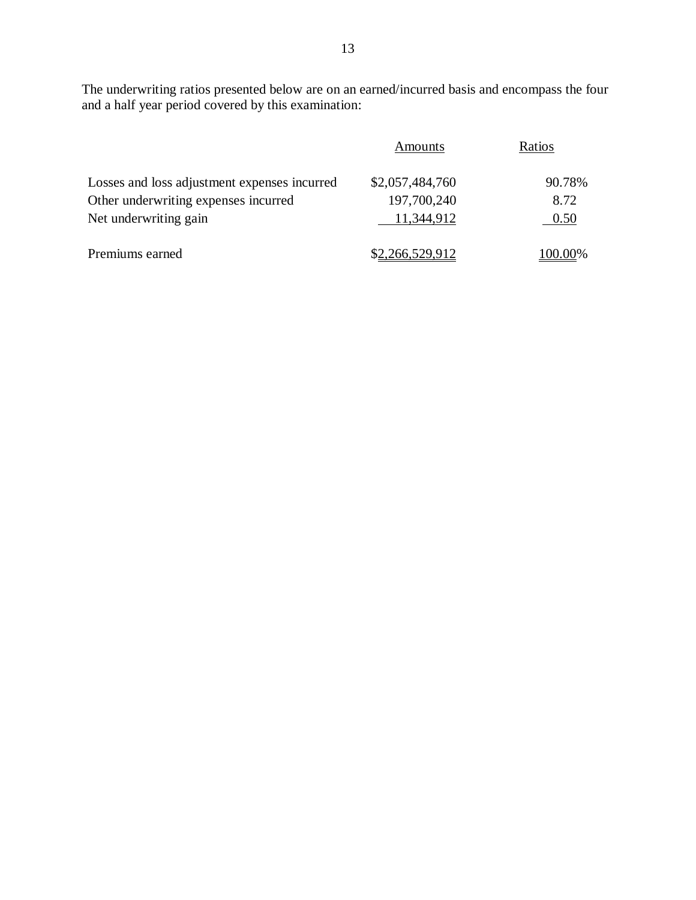The underwriting ratios presented below are on an earned/incurred basis and encompass the four and a half year period covered by this examination:

|                                              | Amounts         | Ratios    |
|----------------------------------------------|-----------------|-----------|
| Losses and loss adjustment expenses incurred | \$2,057,484,760 | 90.78%    |
| Other underwriting expenses incurred         | 197,700,240     | 8.72      |
| Net underwriting gain                        | 11,344,912      | 0.50      |
| Premiums earned                              | \$2,266,529,912 | $00.00\%$ |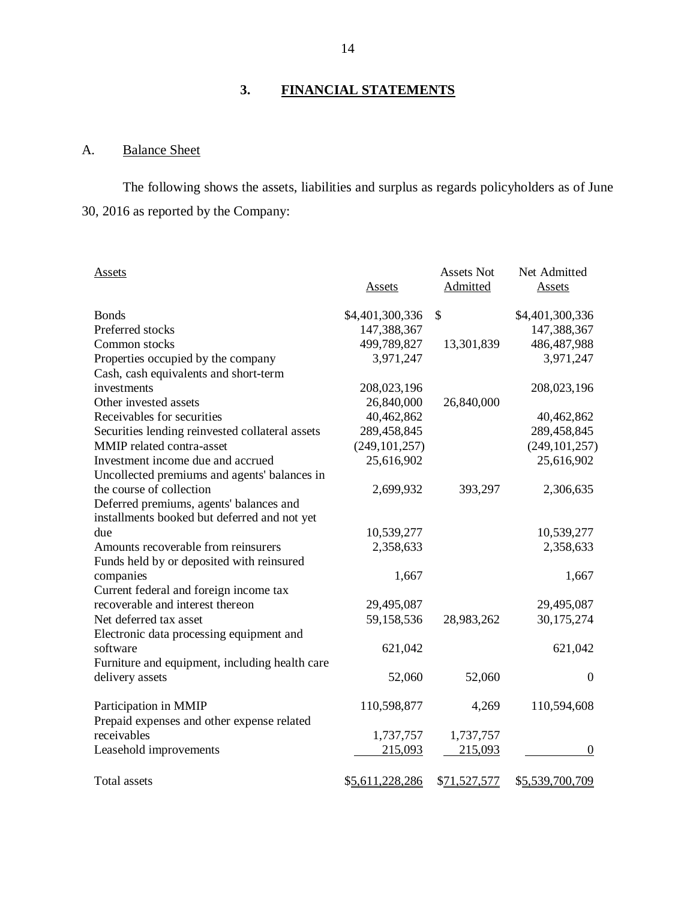# **3. FINANCIAL STATEMENTS**

#### A. **Balance Sheet**

 30, 2016 as reported by the Company: The following shows the assets, liabilities and surplus as regards policyholders as of June

| Assets                                                    |                 | <b>Assets Not</b> | Net Admitted     |
|-----------------------------------------------------------|-----------------|-------------------|------------------|
|                                                           | <u>Assets</u>   | Admitted          | <b>Assets</b>    |
|                                                           |                 |                   |                  |
| <b>Bonds</b>                                              | \$4,401,300,336 | \$                | \$4,401,300,336  |
| Preferred stocks                                          | 147,388,367     |                   | 147,388,367      |
| Common stocks                                             | 499,789,827     | 13,301,839        | 486, 487, 988    |
| Properties occupied by the company                        | 3,971,247       |                   | 3,971,247        |
| Cash, cash equivalents and short-term                     |                 |                   |                  |
| investments                                               | 208,023,196     |                   | 208,023,196      |
| Other invested assets                                     | 26,840,000      | 26,840,000        |                  |
| Receivables for securities                                | 40,462,862      |                   | 40,462,862       |
| Securities lending reinvested collateral assets           | 289,458,845     |                   | 289,458,845      |
| MMIP related contra-asset                                 | (249, 101, 257) |                   | (249, 101, 257)  |
| Investment income due and accrued                         | 25,616,902      |                   | 25,616,902       |
| Uncollected premiums and agents' balances in              |                 |                   |                  |
| the course of collection                                  | 2,699,932       | 393,297           | 2,306,635        |
| Deferred premiums, agents' balances and                   |                 |                   |                  |
| installments booked but deferred and not yet              |                 |                   |                  |
| due                                                       | 10,539,277      |                   | 10,539,277       |
| Amounts recoverable from reinsurers                       | 2,358,633       |                   | 2,358,633        |
| Funds held by or deposited with reinsured                 |                 |                   |                  |
| companies                                                 | 1,667           |                   | 1,667            |
| Current federal and foreign income tax                    |                 |                   |                  |
| recoverable and interest thereon                          | 29,495,087      |                   | 29,495,087       |
| Net deferred tax asset                                    | 59,158,536      | 28,983,262        | 30,175,274       |
| Electronic data processing equipment and                  |                 |                   |                  |
| software                                                  | 621,042         |                   | 621,042          |
| Furniture and equipment, including health care            |                 |                   |                  |
| delivery assets                                           | 52,060          | 52,060            | $\boldsymbol{0}$ |
|                                                           |                 |                   |                  |
| Participation in MMIP                                     | 110,598,877     | 4,269             | 110,594,608      |
| Prepaid expenses and other expense related<br>receivables |                 |                   |                  |
|                                                           | 1,737,757       | 1,737,757         |                  |
| Leasehold improvements                                    | 215,093         | 215,093           | 0                |
| Total assets                                              | \$5,611,228,286 | \$71,527,577      | \$5,539,700,709  |
|                                                           |                 |                   |                  |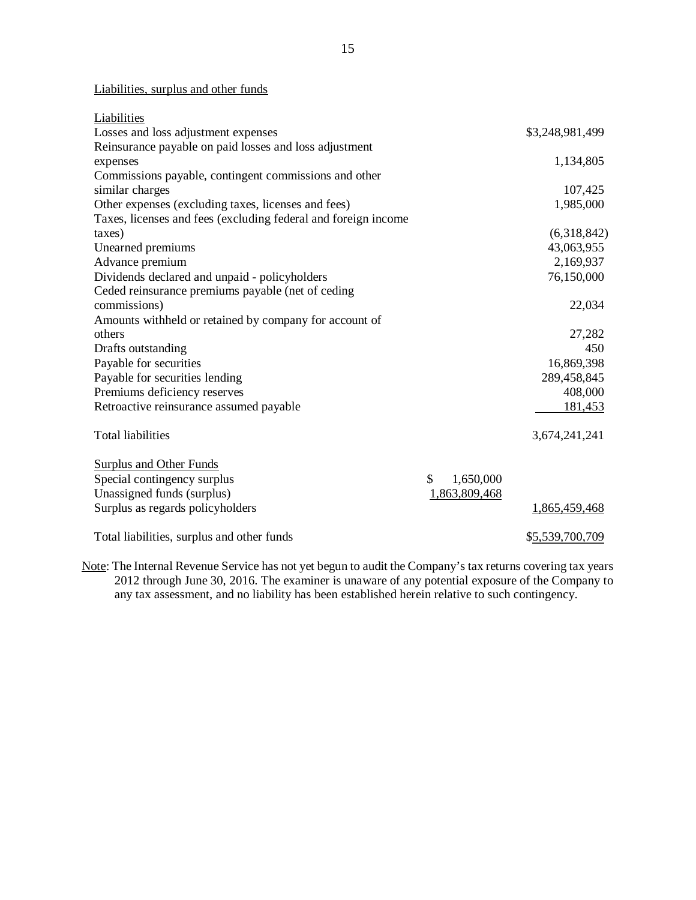Liabilities, surplus and other funds

| Losses and loss adjustment expenses<br>\$3,248,981,499<br>Reinsurance payable on paid losses and loss adjustment<br>1,134,805<br>expenses<br>Commissions payable, contingent commissions and other<br>similar charges<br>107,425<br>Other expenses (excluding taxes, licenses and fees)<br>1,985,000<br>Taxes, licenses and fees (excluding federal and foreign income<br>(6,318,842)<br>taxes)<br>43,063,955<br>Unearned premiums<br>Advance premium<br>2,169,937<br>Dividends declared and unpaid - policyholders<br>76,150,000<br>Ceded reinsurance premiums payable (net of ceding<br>22,034<br>commissions)<br>Amounts withheld or retained by company for account of<br>others<br>27,282<br>450<br>Drafts outstanding<br>Payable for securities<br>16,869,398<br>Payable for securities lending<br>289,458,845<br>Premiums deficiency reserves<br>408,000<br>Retroactive reinsurance assumed payable<br>181,453<br><b>Total liabilities</b><br>3,674,241,241<br><b>Surplus and Other Funds</b><br>Special contingency surplus<br>\$<br>1,650,000<br>Unassigned funds (surplus)<br>1,863,809,468<br>Surplus as regards policyholders<br>1,865,459,468 | Liabilities                                |                 |
|------------------------------------------------------------------------------------------------------------------------------------------------------------------------------------------------------------------------------------------------------------------------------------------------------------------------------------------------------------------------------------------------------------------------------------------------------------------------------------------------------------------------------------------------------------------------------------------------------------------------------------------------------------------------------------------------------------------------------------------------------------------------------------------------------------------------------------------------------------------------------------------------------------------------------------------------------------------------------------------------------------------------------------------------------------------------------------------------------------------------------------------------------------|--------------------------------------------|-----------------|
|                                                                                                                                                                                                                                                                                                                                                                                                                                                                                                                                                                                                                                                                                                                                                                                                                                                                                                                                                                                                                                                                                                                                                            |                                            |                 |
|                                                                                                                                                                                                                                                                                                                                                                                                                                                                                                                                                                                                                                                                                                                                                                                                                                                                                                                                                                                                                                                                                                                                                            |                                            |                 |
|                                                                                                                                                                                                                                                                                                                                                                                                                                                                                                                                                                                                                                                                                                                                                                                                                                                                                                                                                                                                                                                                                                                                                            |                                            |                 |
|                                                                                                                                                                                                                                                                                                                                                                                                                                                                                                                                                                                                                                                                                                                                                                                                                                                                                                                                                                                                                                                                                                                                                            |                                            |                 |
|                                                                                                                                                                                                                                                                                                                                                                                                                                                                                                                                                                                                                                                                                                                                                                                                                                                                                                                                                                                                                                                                                                                                                            |                                            |                 |
|                                                                                                                                                                                                                                                                                                                                                                                                                                                                                                                                                                                                                                                                                                                                                                                                                                                                                                                                                                                                                                                                                                                                                            |                                            |                 |
|                                                                                                                                                                                                                                                                                                                                                                                                                                                                                                                                                                                                                                                                                                                                                                                                                                                                                                                                                                                                                                                                                                                                                            |                                            |                 |
|                                                                                                                                                                                                                                                                                                                                                                                                                                                                                                                                                                                                                                                                                                                                                                                                                                                                                                                                                                                                                                                                                                                                                            |                                            |                 |
|                                                                                                                                                                                                                                                                                                                                                                                                                                                                                                                                                                                                                                                                                                                                                                                                                                                                                                                                                                                                                                                                                                                                                            |                                            |                 |
|                                                                                                                                                                                                                                                                                                                                                                                                                                                                                                                                                                                                                                                                                                                                                                                                                                                                                                                                                                                                                                                                                                                                                            |                                            |                 |
|                                                                                                                                                                                                                                                                                                                                                                                                                                                                                                                                                                                                                                                                                                                                                                                                                                                                                                                                                                                                                                                                                                                                                            |                                            |                 |
|                                                                                                                                                                                                                                                                                                                                                                                                                                                                                                                                                                                                                                                                                                                                                                                                                                                                                                                                                                                                                                                                                                                                                            |                                            |                 |
|                                                                                                                                                                                                                                                                                                                                                                                                                                                                                                                                                                                                                                                                                                                                                                                                                                                                                                                                                                                                                                                                                                                                                            |                                            |                 |
|                                                                                                                                                                                                                                                                                                                                                                                                                                                                                                                                                                                                                                                                                                                                                                                                                                                                                                                                                                                                                                                                                                                                                            |                                            |                 |
|                                                                                                                                                                                                                                                                                                                                                                                                                                                                                                                                                                                                                                                                                                                                                                                                                                                                                                                                                                                                                                                                                                                                                            |                                            |                 |
|                                                                                                                                                                                                                                                                                                                                                                                                                                                                                                                                                                                                                                                                                                                                                                                                                                                                                                                                                                                                                                                                                                                                                            |                                            |                 |
|                                                                                                                                                                                                                                                                                                                                                                                                                                                                                                                                                                                                                                                                                                                                                                                                                                                                                                                                                                                                                                                                                                                                                            |                                            |                 |
|                                                                                                                                                                                                                                                                                                                                                                                                                                                                                                                                                                                                                                                                                                                                                                                                                                                                                                                                                                                                                                                                                                                                                            |                                            |                 |
|                                                                                                                                                                                                                                                                                                                                                                                                                                                                                                                                                                                                                                                                                                                                                                                                                                                                                                                                                                                                                                                                                                                                                            |                                            |                 |
|                                                                                                                                                                                                                                                                                                                                                                                                                                                                                                                                                                                                                                                                                                                                                                                                                                                                                                                                                                                                                                                                                                                                                            |                                            |                 |
|                                                                                                                                                                                                                                                                                                                                                                                                                                                                                                                                                                                                                                                                                                                                                                                                                                                                                                                                                                                                                                                                                                                                                            |                                            |                 |
|                                                                                                                                                                                                                                                                                                                                                                                                                                                                                                                                                                                                                                                                                                                                                                                                                                                                                                                                                                                                                                                                                                                                                            |                                            |                 |
|                                                                                                                                                                                                                                                                                                                                                                                                                                                                                                                                                                                                                                                                                                                                                                                                                                                                                                                                                                                                                                                                                                                                                            |                                            |                 |
|                                                                                                                                                                                                                                                                                                                                                                                                                                                                                                                                                                                                                                                                                                                                                                                                                                                                                                                                                                                                                                                                                                                                                            |                                            |                 |
|                                                                                                                                                                                                                                                                                                                                                                                                                                                                                                                                                                                                                                                                                                                                                                                                                                                                                                                                                                                                                                                                                                                                                            |                                            |                 |
|                                                                                                                                                                                                                                                                                                                                                                                                                                                                                                                                                                                                                                                                                                                                                                                                                                                                                                                                                                                                                                                                                                                                                            | Total liabilities, surplus and other funds | \$5,539,700,709 |

Note: The Internal Revenue Service has not yet begun to audit the Company's tax returns covering tax years 2012 through June 30, 2016. The examiner is unaware of any potential exposure of the Company to any tax assessment, and no liability has been established herein relative to such contingency.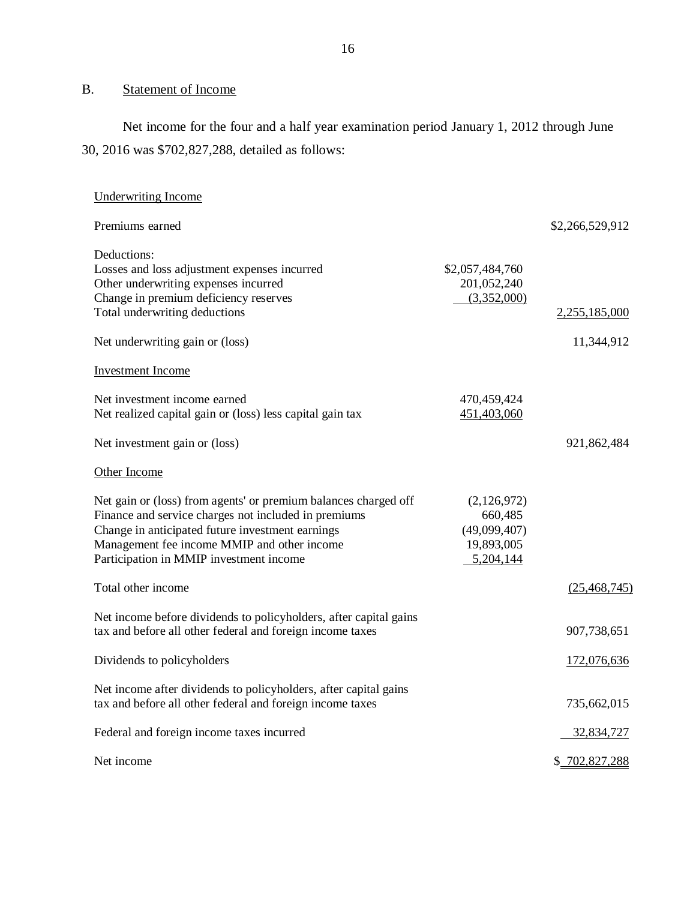#### B. Statement of Income

 30, 2016 was \$702,827,288, detailed as follows: Net income for the four and a half year examination period January 1, 2012 through June

| <b>Underwriting Income</b>                                                                                                                                                                                                                                            |                                                                   |                 |
|-----------------------------------------------------------------------------------------------------------------------------------------------------------------------------------------------------------------------------------------------------------------------|-------------------------------------------------------------------|-----------------|
| Premiums earned                                                                                                                                                                                                                                                       |                                                                   | \$2,266,529,912 |
| Deductions:<br>Losses and loss adjustment expenses incurred<br>Other underwriting expenses incurred<br>Change in premium deficiency reserves<br>Total underwriting deductions                                                                                         | \$2,057,484,760<br>201,052,240<br>(3,352,000)                     | 2,255,185,000   |
| Net underwriting gain or (loss)                                                                                                                                                                                                                                       |                                                                   | 11,344,912      |
| <b>Investment Income</b>                                                                                                                                                                                                                                              |                                                                   |                 |
| Net investment income earned<br>Net realized capital gain or (loss) less capital gain tax                                                                                                                                                                             | 470,459,424<br>451,403,060                                        |                 |
| Net investment gain or (loss)                                                                                                                                                                                                                                         |                                                                   | 921,862,484     |
| Other Income                                                                                                                                                                                                                                                          |                                                                   |                 |
| Net gain or (loss) from agents' or premium balances charged off<br>Finance and service charges not included in premiums<br>Change in anticipated future investment earnings<br>Management fee income MMIP and other income<br>Participation in MMIP investment income | (2,126,972)<br>660,485<br>(49,099,407)<br>19,893,005<br>5,204,144 |                 |
| Total other income                                                                                                                                                                                                                                                    |                                                                   | (25, 468, 745)  |
| Net income before dividends to policyholders, after capital gains<br>tax and before all other federal and foreign income taxes                                                                                                                                        |                                                                   | 907,738,651     |
| Dividends to policyholders                                                                                                                                                                                                                                            |                                                                   | 172,076,636     |
| Net income after dividends to policyholders, after capital gains<br>tax and before all other federal and foreign income taxes                                                                                                                                         |                                                                   | 735,662,015     |
| Federal and foreign income taxes incurred                                                                                                                                                                                                                             |                                                                   | 32,834,727      |
| Net income                                                                                                                                                                                                                                                            |                                                                   | \$702,827,288   |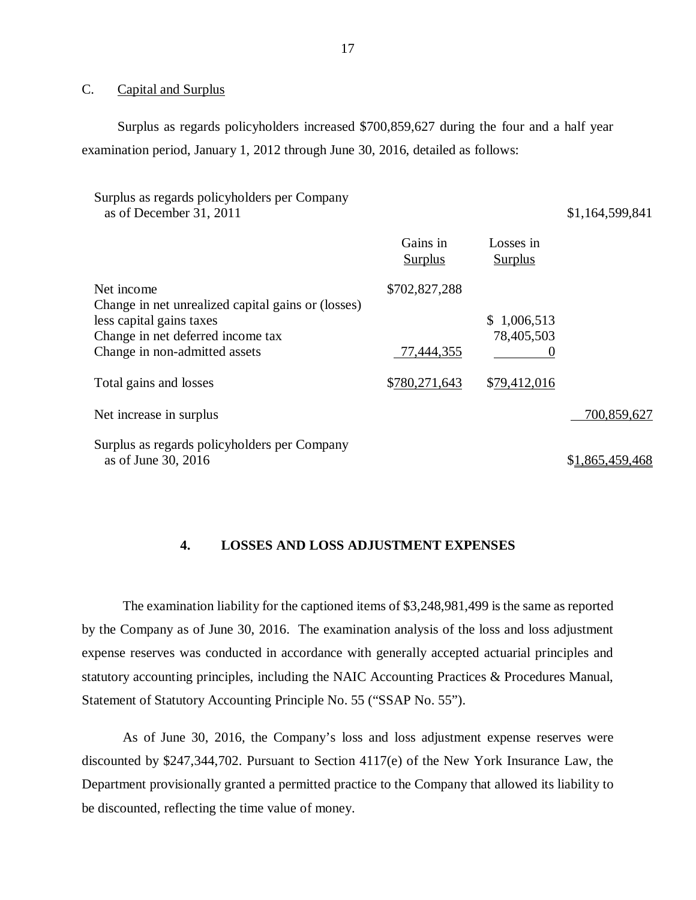#### $\overline{C}$ . Capital and Surplus

 Surplus as regards policyholders increased \$700,859,627 during the four and a half year examination period, January 1, 2012 through June 30, 2016, detailed as follows:

| Surplus as regards policyholders per Company<br>as of December 31, 2011 |                            |                             | \$1,164,599,841 |
|-------------------------------------------------------------------------|----------------------------|-----------------------------|-----------------|
|                                                                         | Gains in<br><b>Surplus</b> | Losses in<br><b>Surplus</b> |                 |
| Net income<br>Change in net unrealized capital gains or (losses)        | \$702,827,288              |                             |                 |
| less capital gains taxes                                                |                            | \$1,006,513                 |                 |
| Change in net deferred income tax                                       |                            | 78,405,503                  |                 |
| Change in non-admitted assets                                           | 77,444,355                 |                             |                 |
| Total gains and losses                                                  | \$780,271,643              | \$79,412,016                |                 |
| Net increase in surplus                                                 |                            |                             | 700,859,627     |
| Surplus as regards policyholders per Company<br>as of June 30, 2016     |                            |                             | \$1,865,459,468 |

#### **4. LOSSES AND LOSS ADJUSTMENT EXPENSES**

 by the Company as of June 30, 2016. The examination analysis of the loss and loss adjustment expense reserves was conducted in accordance with generally accepted actuarial principles and statutory accounting principles, including the NAIC Accounting Practices & Procedures Manual, Statement of Statutory Accounting Principle No. 55 ("SSAP No. 55"). The examination liability for the captioned items of \$3,248,981,499 is the same as reported

 discounted by \$247,344,702. Pursuant to Section 4117(e) of the New York Insurance Law, the Department provisionally granted a permitted practice to the Company that allowed its liability to be discounted, reflecting the time value of money. As of June 30, 2016, the Company's loss and loss adjustment expense reserves were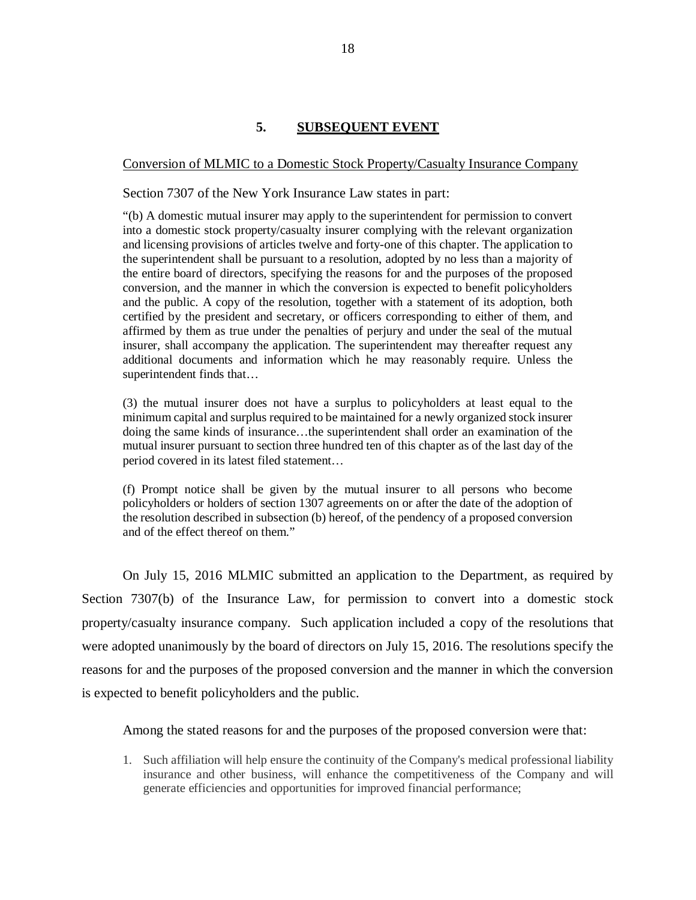### **5. SUBSEQUENT EVENT**

### <span id="page-19-0"></span>Conversion of MLMIC to a Domestic Stock Property/Casualty Insurance Company

Section 7307 of the New York Insurance Law states in part:

 "(b) A domestic mutual insurer may apply to the superintendent for permission to convert into a domestic stock property/casualty insurer complying with the relevant organization and licensing provisions of articles twelve and forty-one of this chapter. The application to the superintendent shall be pursuant to a resolution, adopted by no less than a majority of the entire board of directors, specifying the reasons for and the purposes of the proposed conversion, and the manner in which the conversion is expected to benefit policyholders and the public. A copy of the resolution, together with a statement of its adoption, both certified by the president and secretary, or officers corresponding to either of them, and affirmed by them as true under the penalties of perjury and under the seal of the mutual insurer, shall accompany the application. The superintendent may thereafter request any additional documents and information which he may reasonably require. Unless the superintendent finds that…

 (3) the mutual insurer does not have a surplus to policyholders at least equal to the minimum capital and surplus required to be maintained for a newly organized stock insurer doing the same kinds of insurance…the superintendent shall order an examination of the mutual insurer pursuant to section three hundred ten of this chapter as of the last day of the period covered in its latest filed statement…

 (f) Prompt notice shall be given by the mutual insurer to all persons who become policyholders or holders of section 1307 agreements on or after the date of the adoption of the resolution described in subsection (b) hereof, of the pendency of a proposed conversion and of the effect thereof on them."

 On July 15, 2016 MLMIC submitted an application to the Department, as required by Section 7307(b) of the Insurance Law, for permission to convert into a domestic stock property/casualty insurance company. Such application included a copy of the resolutions that were adopted unanimously by the board of directors on July 15, 2016. The resolutions specify the reasons for and the purposes of the proposed conversion and the manner in which the conversion is expected to benefit policyholders and the public.

Among the stated reasons for and the purposes of the proposed conversion were that:

 1. Such affiliation will help ensure the continuity of the Company's medical professional liability insurance and other business, will enhance the competitiveness of the Company and will generate efficiencies and opportunities for improved financial performance;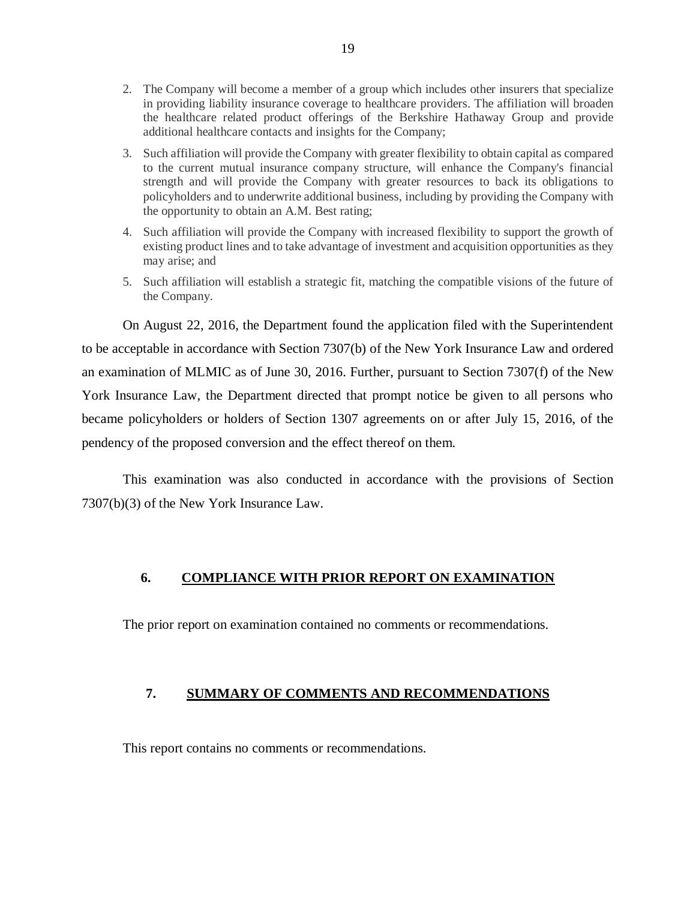- <span id="page-20-0"></span> 2. The Company will become a member of a group which includes other insurers that specialize in providing liability insurance coverage to healthcare providers. The affiliation will broaden the healthcare related product offerings of the Berkshire Hathaway Group and provide additional healthcare contacts and insights for the Company;
- 3. Such affiliation will provide the Company with greater flexibility to obtain capital as compared to the current mutual insurance company structure, will enhance the Company's financial strength and will provide the Company with greater resources to back its obligations to policyholders and to underwrite additional business, including by providing the Company with the opportunity to obtain an A.M. Best rating;
- 4. Such affiliation will provide the Company with increased flexibility to support the growth of existing product lines and to take advantage of investment and acquisition opportunities as they may arise; and
- 5. Such affiliation will establish a strategic fit, matching the compatible visions of the future of the Company.

 On August 22, 2016, the Department found the application filed with the Superintendent to be acceptable in accordance with Section 7307(b) of the New York Insurance Law and ordered an examination of MLMIC as of June 30, 2016. Further, pursuant to Section 7307(f) of the New York Insurance Law, the Department directed that prompt notice be given to all persons who became policyholders or holders of Section 1307 agreements on or after July 15, 2016, of the pendency of the proposed conversion and the effect thereof on them.

 This examination was also conducted in accordance with the provisions of Section 7307(b)(3) of the New York Insurance Law.

### **6. COMPLIANCE WITH PRIOR REPORT ON EXAMINATION**

The prior report on examination contained no comments or recommendations.

#### **7. SUMMARY OF COMMENTS AND RECOMMENDATIONS**

This report contains no comments or recommendations.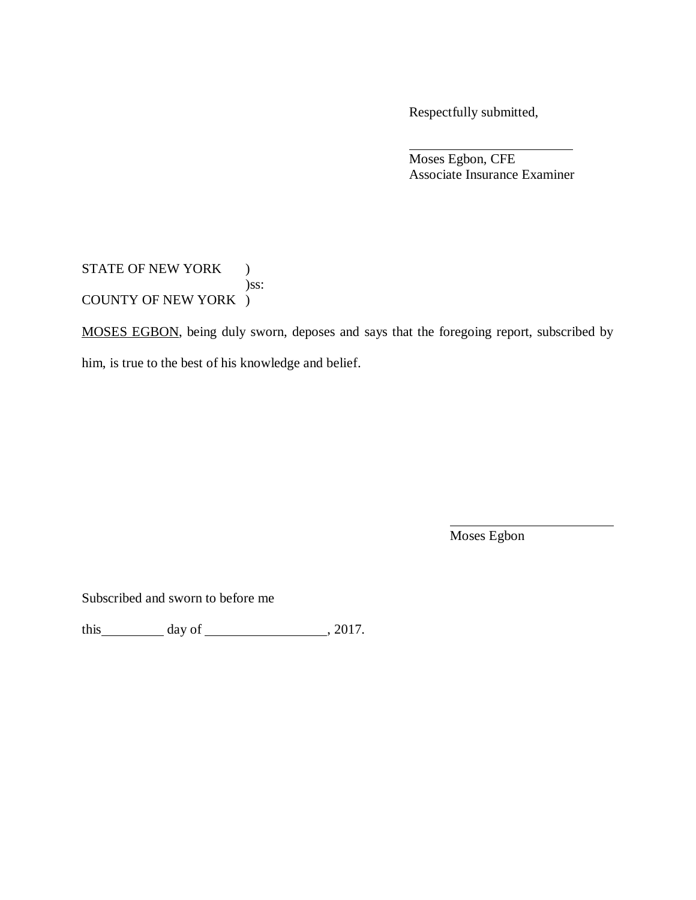Respectfully submitted,

 Associate Insurance Examiner Moses Egbon, CFE

STATE OF NEW YORK ) COUNTY OF NEW YORK ) )ss:

MOSES EGBON, being duly sworn, deposes and says that the foregoing report, subscribed by

him, is true to the best of his knowledge and belief.

Moses Egbon

Subscribed and sworn to before me

this  $\_\_\_\_\_$  day of  $\_\_\_\_\_\_$ , 2017.